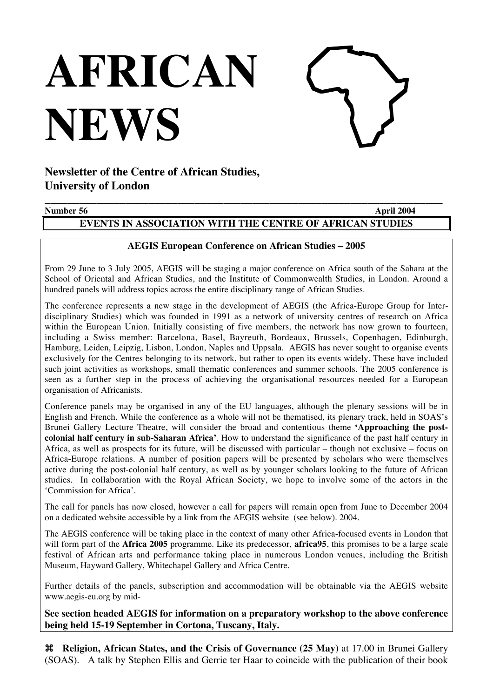# **AFRICAN NEWS**



# **Newsletter of the Centre of African Studies, University of London**

# **\_\_\_\_\_\_\_\_\_\_\_\_\_\_\_\_\_\_\_\_\_\_\_\_\_\_\_\_\_\_\_\_\_\_\_\_\_\_\_\_\_\_\_\_\_\_\_\_\_\_\_\_\_\_\_\_\_\_\_\_\_\_\_\_\_\_\_\_\_ Number 56** April 2004

# **EVENTS IN ASSOCIATION WITH THE CENTRE OF AFRICAN STUDIES**

# **AEGIS European Conference on African Studies – 2005**

From 29 June to 3 July 2005, AEGIS will be staging a major conference on Africa south of the Sahara at the School of Oriental and African Studies, and the Institute of Commonwealth Studies, in London. Around a hundred panels will address topics across the entire disciplinary range of African Studies.

The conference represents a new stage in the development of AEGIS (the Africa-Europe Group for Interdisciplinary Studies) which was founded in 1991 as a network of university centres of research on Africa within the European Union. Initially consisting of five members, the network has now grown to fourteen, including a Swiss member: Barcelona, Basel, Bayreuth, Bordeaux, Brussels, Copenhagen, Edinburgh, Hamburg, Leiden, Leipzig, Lisbon, London, Naples and Uppsala. AEGIS has never sought to organise events exclusively for the Centres belonging to its network, but rather to open its events widely. These have included such joint activities as workshops, small thematic conferences and summer schools. The 2005 conference is seen as a further step in the process of achieving the organisational resources needed for a European organisation of Africanists.

Conference panels may be organised in any of the EU languages, although the plenary sessions will be in English and French. While the conference as a whole will not be thematised, its plenary track, held in SOAS's Brunei Gallery Lecture Theatre, will consider the broad and contentious theme **'Approaching the postcolonial half century in sub-Saharan Africa'**. How to understand the significance of the past half century in Africa, as well as prospects for its future, will be discussed with particular – though not exclusive – focus on Africa-Europe relations. A number of position papers will be presented by scholars who were themselves active during the post-colonial half century, as well as by younger scholars looking to the future of African studies. In collaboration with the Royal African Society, we hope to involve some of the actors in the 'Commission for Africa'.

The call for panels has now closed, however a call for papers will remain open from June to December 2004 on a dedicated website accessible by a link from the AEGIS website (see below). 2004.

The AEGIS conference will be taking place in the context of many other Africa-focused events in London that will form part of the **Africa 2005** programme. Like its predecessor, **africa95**, this promises to be a large scale festival of African arts and performance taking place in numerous London venues, including the British Museum, Hayward Gallery, Whitechapel Gallery and Africa Centre.

Further details of the panels, subscription and accommodation will be obtainable via the AEGIS website www.aegis-eu.org by mid-

**See section headed AEGIS for information on a preparatory workshop to the above conference being held 15-19 September in Cortona, Tuscany, Italy.**

 **Religion, African States, and the Crisis of Governance (25 May)** at 17.00 in Brunei Gallery (SOAS). A talk by Stephen Ellis and Gerrie ter Haar to coincide with the publication of their book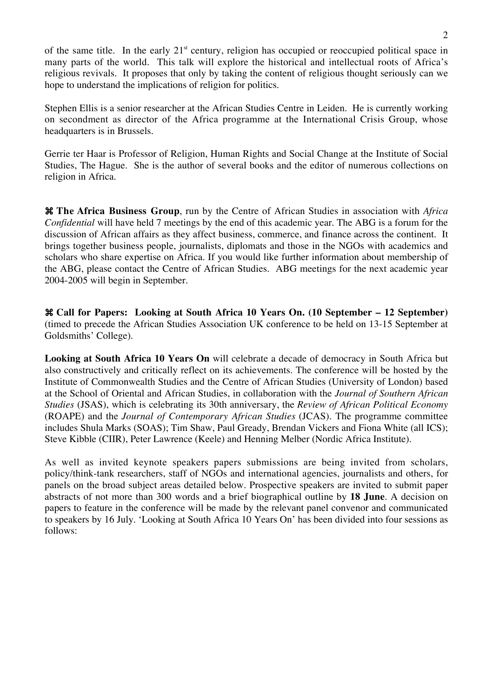of the same title. In the early  $21<sup>st</sup>$  century, religion has occupied or reoccupied political space in many parts of the world. This talk will explore the historical and intellectual roots of Africa's religious revivals. It proposes that only by taking the content of religious thought seriously can we hope to understand the implications of religion for politics.

Stephen Ellis is a senior researcher at the African Studies Centre in Leiden. He is currently working on secondment as director of the Africa programme at the International Crisis Group, whose headquarters is in Brussels.

Gerrie ter Haar is Professor of Religion, Human Rights and Social Change at the Institute of Social Studies, The Hague. She is the author of several books and the editor of numerous collections on religion in Africa.

 **The Africa Business Group**, run by the Centre of African Studies in association with *Africa Confidential* will have held 7 meetings by the end of this academic year. The ABG is a forum for the discussion of African affairs as they affect business, commerce, and finance across the continent. It brings together business people, journalists, diplomats and those in the NGOs with academics and scholars who share expertise on Africa. If you would like further information about membership of the ABG, please contact the Centre of African Studies. ABG meetings for the next academic year 2004-2005 will begin in September.

 **Call for Papers: Looking at South Africa 10 Years On. (10 September – 12 September)** (timed to precede the African Studies Association UK conference to be held on 13-15 September at Goldsmiths' College).

**Looking at South Africa 10 Years On** will celebrate a decade of democracy in South Africa but also constructively and critically reflect on its achievements. The conference will be hosted by the Institute of Commonwealth Studies and the Centre of African Studies (University of London) based at the School of Oriental and African Studies, in collaboration with the *Journal of Southern African Studies* (JSAS), which is celebrating its 30th anniversary, the *Review of African Political Economy* (ROAPE) and the *Journal of Contemporary African Studies* (JCAS). The programme committee includes Shula Marks (SOAS); Tim Shaw, Paul Gready, Brendan Vickers and Fiona White (all ICS); Steve Kibble (CIIR), Peter Lawrence (Keele) and Henning Melber (Nordic Africa Institute).

As well as invited keynote speakers papers submissions are being invited from scholars, policy/think-tank researchers, staff of NGOs and international agencies, journalists and others, for panels on the broad subject areas detailed below. Prospective speakers are invited to submit paper abstracts of not more than 300 words and a brief biographical outline by **18 June**. A decision on papers to feature in the conference will be made by the relevant panel convenor and communicated to speakers by 16 July. 'Looking at South Africa 10 Years On' has been divided into four sessions as follows: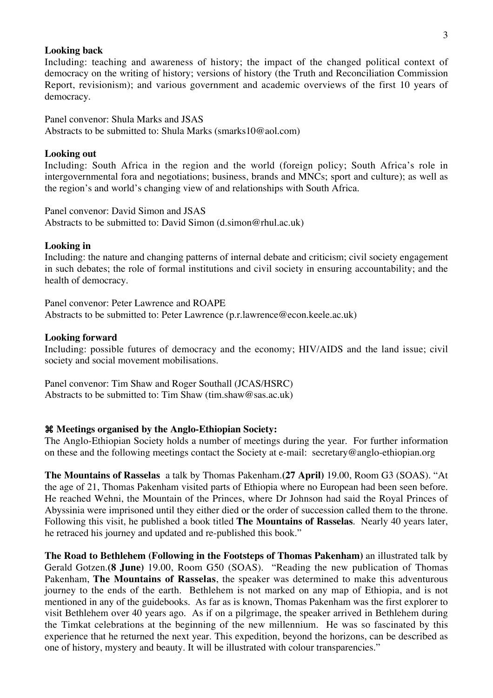#### **Looking back**

Including: teaching and awareness of history; the impact of the changed political context of democracy on the writing of history; versions of history (the Truth and Reconciliation Commission Report, revisionism); and various government and academic overviews of the first 10 years of democracy.

Panel convenor: Shula Marks and JSAS Abstracts to be submitted to: Shula Marks (smarks10@aol.com)

#### **Looking out**

Including: South Africa in the region and the world (foreign policy; South Africa's role in intergovernmental fora and negotiations; business, brands and MNCs; sport and culture); as well as the region's and world's changing view of and relationships with South Africa.

Panel convenor: David Simon and JSAS Abstracts to be submitted to: David Simon (d.simon@rhul.ac.uk)

#### **Looking in**

Including: the nature and changing patterns of internal debate and criticism; civil society engagement in such debates; the role of formal institutions and civil society in ensuring accountability; and the health of democracy.

Panel convenor: Peter Lawrence and ROAPE Abstracts to be submitted to: Peter Lawrence (p.r.lawrence@econ.keele.ac.uk)

#### **Looking forward**

Including: possible futures of democracy and the economy; HIV/AIDS and the land issue; civil society and social movement mobilisations.

Panel convenor: Tim Shaw and Roger Southall (JCAS/HSRC) Abstracts to be submitted to: Tim Shaw (tim.shaw@sas.ac.uk)

#### **Meetings organised by the Anglo-Ethiopian Society:**

The Anglo-Ethiopian Society holds a number of meetings during the year. For further information on these and the following meetings contact the Society at e-mail: secretary@anglo-ethiopian.org

**The Mountains of Rasselas** a talk by Thomas Pakenham.**(27 April)** 19.00, Room G3 (SOAS). "At the age of 21, Thomas Pakenham visited parts of Ethiopia where no European had been seen before. He reached Wehni, the Mountain of the Princes, where Dr Johnson had said the Royal Princes of Abyssinia were imprisoned until they either died or the order of succession called them to the throne. Following this visit, he published a book titled **The Mountains of Rasselas**. Nearly 40 years later, he retraced his journey and updated and re-published this book."

**The Road to Bethlehem (Following in the Footsteps of Thomas Pakenham)** an illustrated talk by Gerald Gotzen.**(8 June)** 19.00, Room G50 (SOAS). "Reading the new publication of Thomas Pakenham, **The Mountains of Rasselas**, the speaker was determined to make this adventurous journey to the ends of the earth. Bethlehem is not marked on any map of Ethiopia, and is not mentioned in any of the guidebooks. As far as is known, Thomas Pakenham was the first explorer to visit Bethlehem over 40 years ago. As if on a pilgrimage, the speaker arrived in Bethlehem during the Timkat celebrations at the beginning of the new millennium. He was so fascinated by this experience that he returned the next year. This expedition, beyond the horizons, can be described as one of history, mystery and beauty. It will be illustrated with colour transparencies."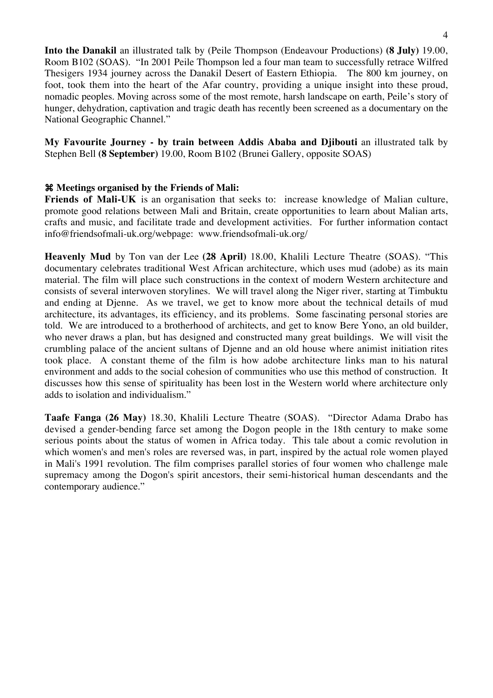**Into the Danakil** an illustrated talk by (Peile Thompson (Endeavour Productions) **(8 July)** 19.00, Room B102 (SOAS). "In 2001 Peile Thompson led a four man team to successfully retrace Wilfred Thesigers 1934 journey across the Danakil Desert of Eastern Ethiopia. The 800 km journey, on foot, took them into the heart of the Afar country, providing a unique insight into these proud, nomadic peoples. Moving across some of the most remote, harsh landscape on earth, Peile's story of hunger, dehydration, captivation and tragic death has recently been screened as a documentary on the National Geographic Channel."

**My Favourite Journey - by train between Addis Ababa and Djibouti** an illustrated talk by Stephen Bell **(8 September)** 19.00, Room B102 (Brunei Gallery, opposite SOAS)

#### **Meetings organised by the Friends of Mali:**

**Friends of Mali-UK** is an organisation that seeks to: increase knowledge of Malian culture, promote good relations between Mali and Britain, create opportunities to learn about Malian arts, crafts and music, and facilitate trade and development activities. For further information contact info@friendsofmali-uk.org/webpage: www.friendsofmali-uk.org/

**Heavenly Mud** by Ton van der Lee **(28 April)** 18.00, Khalili Lecture Theatre (SOAS). "This documentary celebrates traditional West African architecture, which uses mud (adobe) as its main material. The film will place such constructions in the context of modern Western architecture and consists of several interwoven storylines. We will travel along the Niger river, starting at Timbuktu and ending at Djenne. As we travel, we get to know more about the technical details of mud architecture, its advantages, its efficiency, and its problems. Some fascinating personal stories are told. We are introduced to a brotherhood of architects, and get to know Bere Yono, an old builder, who never draws a plan, but has designed and constructed many great buildings. We will visit the crumbling palace of the ancient sultans of Djenne and an old house where animist initiation rites took place. A constant theme of the film is how adobe architecture links man to his natural environment and adds to the social cohesion of communities who use this method of construction. It discusses how this sense of spirituality has been lost in the Western world where architecture only adds to isolation and individualism."

**Taafe Fanga (26 May)** 18.30, Khalili Lecture Theatre (SOAS). "Director Adama Drabo has devised a gender-bending farce set among the Dogon people in the 18th century to make some serious points about the status of women in Africa today. This tale about a comic revolution in which women's and men's roles are reversed was, in part, inspired by the actual role women played in Mali's 1991 revolution. The film comprises parallel stories of four women who challenge male supremacy among the Dogon's spirit ancestors, their semi-historical human descendants and the contemporary audience."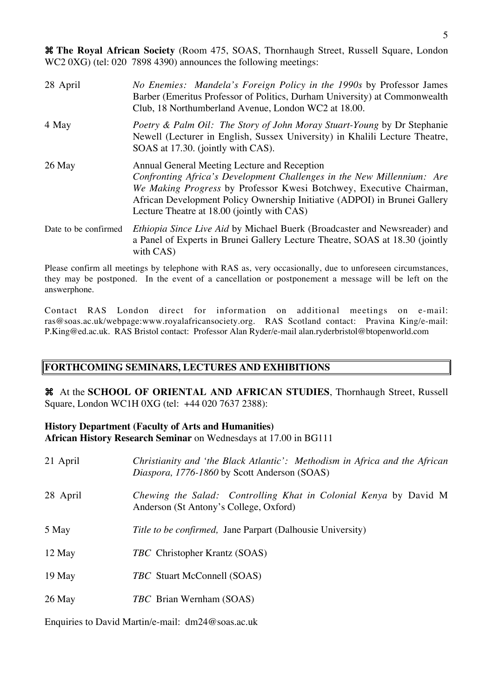5

 **The Royal African Society** (Room 475, SOAS, Thornhaugh Street, Russell Square, London WC2 0XG) (tel: 020 7898 4390) announces the following meetings:

| 28 April             | <i>No Enemies: Mandela's Foreign Policy in the 1990s by Professor James</i><br>Barber (Emeritus Professor of Politics, Durham University) at Commonwealth<br>Club, 18 Northumberland Avenue, London WC2 at 18.00.                                                                                                         |
|----------------------|---------------------------------------------------------------------------------------------------------------------------------------------------------------------------------------------------------------------------------------------------------------------------------------------------------------------------|
| 4 May                | Poetry & Palm Oil: The Story of John Moray Stuart-Young by Dr Stephanie<br>Newell (Lecturer in English, Sussex University) in Khalili Lecture Theatre,<br>SOAS at 17.30. (jointly with CAS).                                                                                                                              |
| 26 May               | Annual General Meeting Lecture and Reception<br>Confronting Africa's Development Challenges in the New Millennium: Are<br>We Making Progress by Professor Kwesi Botchwey, Executive Chairman,<br>African Development Policy Ownership Initiative (ADPOI) in Brunei Gallery<br>Lecture Theatre at 18.00 (jointly with CAS) |
| Date to be confirmed | <i>Ethiopia Since Live Aid by Michael Buerk (Broadcaster and Newsreader) and</i><br>a Panel of Experts in Brunei Gallery Lecture Theatre, SOAS at 18.30 (jointly<br>with CAS)                                                                                                                                             |

Please confirm all meetings by telephone with RAS as, very occasionally, due to unforeseen circumstances, they may be postponed. In the event of a cancellation or postponement a message will be left on the answerphone.

Contact RAS London direct for information on additional meetings on e-mail: ras@soas.ac.uk/webpage:www.royalafricansociety.org. RAS Scotland contact: Pravina King/e-mail: P.King@ed.ac.uk. RAS Bristol contact: Professor Alan Ryder/e-mail alan.ryderbristol@btopenworld.com

## **FORTHCOMING SEMINARS, LECTURES AND EXHIBITIONS**

 At the **SCHOOL OF ORIENTAL AND AFRICAN STUDIES**, Thornhaugh Street, Russell Square, London WC1H 0XG (tel: +44 020 7637 2388):

## **History Department (Faculty of Arts and Humanities) African History Research Seminar** on Wednesdays at 17.00 in BG111

| 21 April | Christianity and 'the Black Atlantic': Methodism in Africa and the African<br>Diaspora, 1776-1860 by Scott Anderson (SOAS) |
|----------|----------------------------------------------------------------------------------------------------------------------------|
| 28 April | Chewing the Salad: Controlling Khat in Colonial Kenya by David M<br>Anderson (St Antony's College, Oxford)                 |
| 5 May    | Title to be confirmed, Jane Parpart (Dalhousie University)                                                                 |
| 12 May   | <i>TBC</i> Christopher Krantz (SOAS)                                                                                       |
| 19 May   | <i>TBC</i> Stuart McConnell (SOAS)                                                                                         |
| 26 May   | <i>TBC</i> Brian Wernham (SOAS)                                                                                            |

Enquiries to David Martin/e-mail: dm24@soas.ac.uk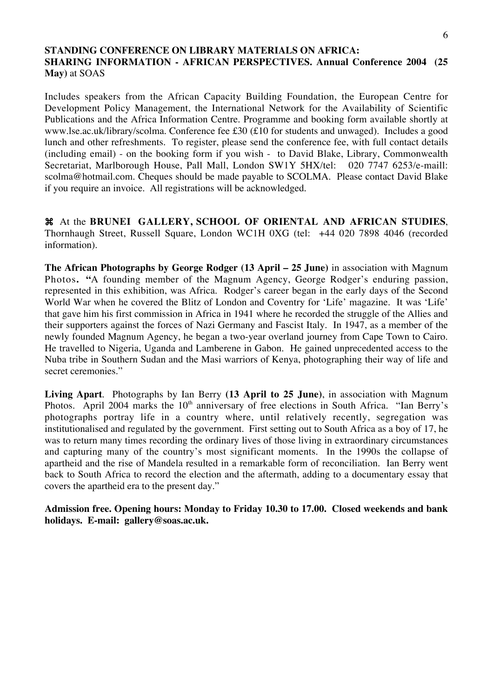# **STANDING CONFERENCE ON LIBRARY MATERIALS ON AFRICA: SHARING INFORMATION - AFRICAN PERSPECTIVES. Annual Conference 2004 (25 May)** at SOAS

Includes speakers from the African Capacity Building Foundation, the European Centre for Development Policy Management, the International Network for the Availability of Scientific Publications and the Africa Information Centre. Programme and booking form available shortly at www.lse.ac.uk/library/scolma. Conference fee £30 (£10 for students and unwaged). Includes a good lunch and other refreshments. To register, please send the conference fee, with full contact details (including email) - on the booking form if you wish - to David Blake, Library, Commonwealth Secretariat, Marlborough House, Pall Mall, London SW1Y 5HX/tel: 020 7747 6253/e-maill: scolma@hotmail.com. Cheques should be made payable to SCOLMA. Please contact David Blake if you require an invoice. All registrations will be acknowledged.

 At the **BRUNEI GALLERY, SCHOOL OF ORIENTAL AND AFRICAN STUDIES**, Thornhaugh Street, Russell Square, London WC1H 0XG (tel: +44 020 7898 4046 (recorded information).

**The African Photographs by George Rodger (13 April – 25 June)** in association with Magnum Photos**. "**A founding member of the Magnum Agency, George Rodger's enduring passion, represented in this exhibition, was Africa. Rodger's career began in the early days of the Second World War when he covered the Blitz of London and Coventry for 'Life' magazine. It was 'Life' that gave him his first commission in Africa in 1941 where he recorded the struggle of the Allies and their supporters against the forces of Nazi Germany and Fascist Italy. In 1947, as a member of the newly founded Magnum Agency, he began a two-year overland journey from Cape Town to Cairo. He travelled to Nigeria, Uganda and Lamberene in Gabon. He gained unprecedented access to the Nuba tribe in Southern Sudan and the Masi warriors of Kenya, photographing their way of life and secret ceremonies."

**Living Apart**. Photographs by Ian Berry **(13 April to 25 June)**, in association with Magnum Photos. April 2004 marks the  $10<sup>th</sup>$  anniversary of free elections in South Africa. "Ian Berry's photographs portray life in a country where, until relatively recently, segregation was institutionalised and regulated by the government. First setting out to South Africa as a boy of 17, he was to return many times recording the ordinary lives of those living in extraordinary circumstances and capturing many of the country's most significant moments. In the 1990s the collapse of apartheid and the rise of Mandela resulted in a remarkable form of reconciliation. Ian Berry went back to South Africa to record the election and the aftermath, adding to a documentary essay that covers the apartheid era to the present day."

**Admission free. Opening hours: Monday to Friday 10.30 to 17.00. Closed weekends and bank holidays. E-mail: gallery@soas.ac.uk.**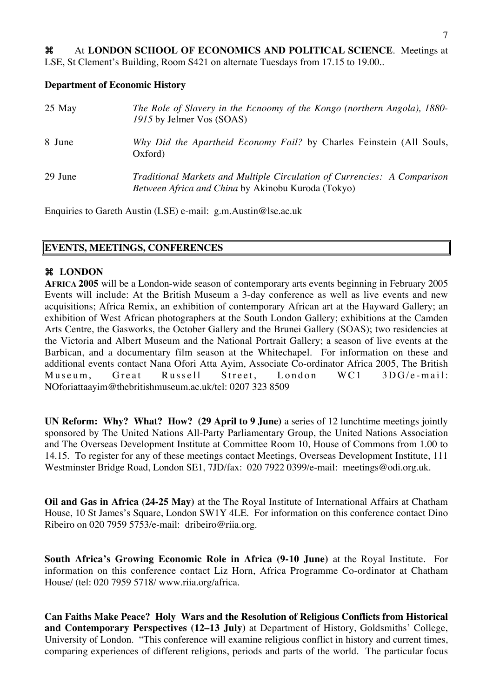At **LONDON SCHOOL OF ECONOMICS AND POLITICAL SCIENCE**. Meetings at LSE, St Clement's Building, Room S421 on alternate Tuesdays from 17.15 to 19.00..

#### **Department of Economic History**

| $25$ May | The Role of Slavery in the Ecnoomy of the Kongo (northern Angola), 1880-<br>1915 by Jelmer Vos (SOAS)                          |
|----------|--------------------------------------------------------------------------------------------------------------------------------|
| 8 June   | Why Did the Apartheid Economy Fail? by Charles Feinstein (All Souls,<br>Oxford)                                                |
| 29 June  | Traditional Markets and Multiple Circulation of Currencies: A Comparison<br>Between Africa and China by Akinobu Kuroda (Tokyo) |

Enquiries to Gareth Austin (LSE) e-mail: g.m.Austin@lse.ac.uk

# **EVENTS, MEETINGS, CONFERENCES**

#### **LONDON**

**AFRICA 2005** will be a London-wide season of contemporary arts events beginning in February 2005 Events will include: At the British Museum a 3-day conference as well as live events and new acquisitions; Africa Remix, an exhibition of contemporary African art at the Hayward Gallery; an exhibition of West African photographers at the South London Gallery; exhibitions at the Camden Arts Centre, the Gasworks, the October Gallery and the Brunei Gallery (SOAS); two residencies at the Victoria and Albert Museum and the National Portrait Gallery; a season of live events at the Barbican, and a documentary film season at the Whitechapel. For information on these and additional events contact Nana Ofori Atta Ayim, Associate Co-ordinator Africa 2005, The British Museum, Great Russell Street, London WC1 3DG/e-mail: NOforiattaayim@thebritishmuseum.ac.uk/tel: 0207 323 8509

**UN Reform: Why? What? How? (29 April to 9 June)** a series of 12 lunchtime meetings jointly sponsored by The United Nations All-Party Parliamentary Group, the United Nations Association and The Overseas Development Institute at Committee Room 10, House of Commons from 1.00 to 14.15. To register for any of these meetings contact Meetings, Overseas Development Institute, 111 Westminster Bridge Road, London SE1, 7JD/fax: 020 7922 0399/e-mail: meetings@odi.org.uk.

**Oil and Gas in Africa (24-25 May)** at the The Royal Institute of International Affairs at Chatham House, 10 St James's Square, London SW1Y 4LE. For information on this conference contact Dino Ribeiro on 020 7959 5753/e-mail: dribeiro@riia.org.

**South Africa's Growing Economic Role in Africa (9-10 June)** at the Royal Institute. For information on this conference contact Liz Horn, Africa Programme Co-ordinator at Chatham House/ (tel: 020 7959 5718/ www.riia.org/africa.

**Can Faiths Make Peace? Holy Wars and the Resolution of Religious Conflicts from Historical and Contemporary Perspectives (12–13 July)** at Department of History, Goldsmiths' College, University of London. "This conference will examine religious conflict in history and current times, comparing experiences of different religions, periods and parts of the world. The particular focus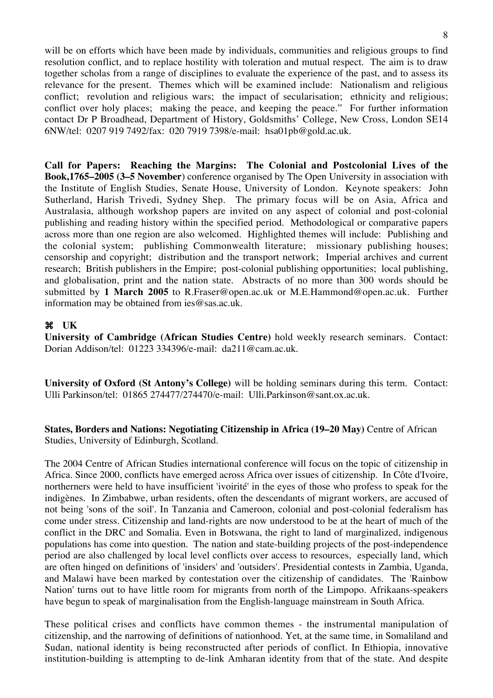will be on efforts which have been made by individuals, communities and religious groups to find resolution conflict, and to replace hostility with toleration and mutual respect. The aim is to draw together scholas from a range of disciplines to evaluate the experience of the past, and to assess its relevance for the present. Themes which will be examined include: Nationalism and religious conflict; revolution and religious wars; the impact of secularisation; ethnicity and religious; conflict over holy places; making the peace, and keeping the peace." For further information contact Dr P Broadhead, Department of History, Goldsmiths' College, New Cross, London SE14 6NW/tel: 0207 919 7492/fax: 020 7919 7398/e-mail: hsa01pb@gold.ac.uk.

**Call for Papers: Reaching the Margins: The Colonial and Postcolonial Lives of the Book,1765–2005 (3–5 November**) conference organised by The Open University in association with the Institute of English Studies, Senate House, University of London. Keynote speakers: John Sutherland, Harish Trivedi, Sydney Shep. The primary focus will be on Asia, Africa and Australasia, although workshop papers are invited on any aspect of colonial and post-colonial publishing and reading history within the specified period. Methodological or comparative papers across more than one region are also welcomed. Highlighted themes will include: Publishing and the colonial system; publishing Commonwealth literature; missionary publishing houses; censorship and copyright; distribution and the transport network; Imperial archives and current research; British publishers in the Empire; post-colonial publishing opportunities; local publishing, and globalisation, print and the nation state. Abstracts of no more than 300 words should be submitted by **1 March 2005** to R.Fraser@open.ac.uk or M.E.Hammond@open.ac.uk. Further information may be obtained from ies@sas.ac.uk.

#### **UK**

**University of Cambridge (African Studies Centre)** hold weekly research seminars. Contact: Dorian Addison/tel: 01223 334396/e-mail: da211@cam.ac.uk.

**University of Oxford (St Antony's College)** will be holding seminars during this term. Contact: Ulli Parkinson/tel: 01865 274477/274470/e-mail: Ulli.Parkinson@sant.ox.ac.uk.

**States, Borders and Nations: Negotiating Citizenship in Africa (19–20 May)** Centre of African Studies, University of Edinburgh, Scotland.

The 2004 Centre of African Studies international conference will focus on the topic of citizenship in Africa. Since 2000, conflicts have emerged across Africa over issues of citizenship. In Côte d'Ivoire, northerners were held to have insufficient 'ivoirité' in the eyes of those who profess to speak for the indigènes. In Zimbabwe, urban residents, often the descendants of migrant workers, are accused of not being 'sons of the soil'. In Tanzania and Cameroon, colonial and post-colonial federalism has come under stress. Citizenship and land-rights are now understood to be at the heart of much of the conflict in the DRC and Somalia. Even in Botswana, the right to land of marginalized, indigenous populations has come into question. The nation and state-building projects of the post-independence period are also challenged by local level conflicts over access to resources, especially land, which are often hinged on definitions of 'insiders' and 'outsiders'. Presidential contests in Zambia, Uganda, and Malawi have been marked by contestation over the citizenship of candidates. The 'Rainbow Nation' turns out to have little room for migrants from north of the Limpopo. Afrikaans-speakers have begun to speak of marginalisation from the English-language mainstream in South Africa.

These political crises and conflicts have common themes - the instrumental manipulation of citizenship, and the narrowing of definitions of nationhood. Yet, at the same time, in Somaliland and Sudan, national identity is being reconstructed after periods of conflict. In Ethiopia, innovative institution-building is attempting to de-link Amharan identity from that of the state. And despite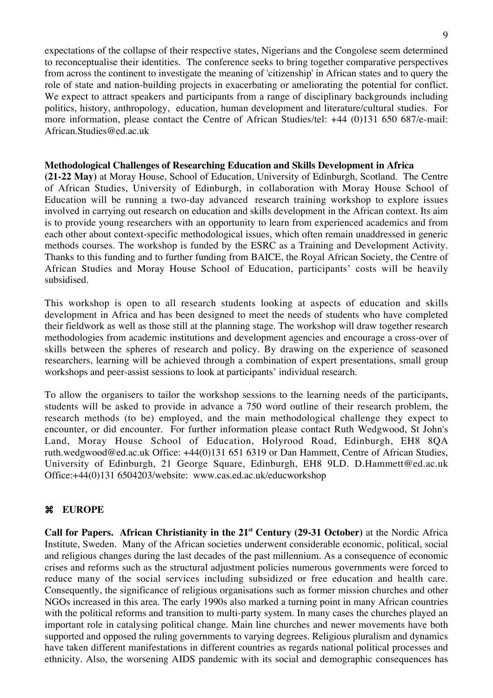expectations of the collapse of their respective states, Nigerians and the Congolese seem determined to reconceptualise their identities. The conference seeks to bring together comparative perspectives from across the continent to investigate the meaning of 'citizenship' in African states and to query the role of state and nation-building projects in exacerbating or ameliorating the potential for conflict. We expect to attract speakers and participants from a range of disciplinary backgrounds including politics, history, anthropology, education, human development and literature/cultural studies. For more information, please contact the Centre of African Studies/tel: +44 (0)131 650 687/e-mail: African.Studies@ed.ac.uk

#### **Methodological Challenges of Researching Education and Skills Development in Africa**

**(21-22 May)** at Moray House, School of Education, University of Edinburgh, Scotland. The Centre of African Studies, University of Edinburgh, in collaboration with Moray House School of Education will be running a two-day advanced research training workshop to explore issues involved in carrying out research on education and skills development in the African context. Its aim is to provide young researchers with an opportunity to learn from experienced academics and from each other about context-specific methodological issues, which often remain unaddressed in generic methods courses. The workshop is funded by the ESRC as a Training and Development Activity. Thanks to this funding and to further funding from BAICE, the Royal African Society, the Centre of African Studies and Moray House School of Education, participants' costs will be heavily subsidised.

This workshop is open to all research students looking at aspects of education and skills development in Africa and has been designed to meet the needs of students who have completed their fieldwork as well as those still at the planning stage. The workshop will draw together research methodologies from academic institutions and development agencies and encourage a cross-over of skills between the spheres of research and policy. By drawing on the experience of seasoned researchers, learning will be achieved through a combination of expert presentations, small group workshops and peer-assist sessions to look at participants' individual research.

To allow the organisers to tailor the workshop sessions to the learning needs of the participants, students will be asked to provide in advance a 750 word outline of their research problem, the research methods (to be) employed, and the main methodological challenge they expect to encounter, or did encounter. For further information please contact Ruth Wedgwood, St John's Land, Moray House School of Education, Holyrood Road, Edinburgh, EH8 8QA ruth.wedgwood@ed.ac.uk Office: +44(0)131 651 6319 or Dan Hammett, Centre of African Studies, University of Edinburgh, 21 George Square, Edinburgh, EH8 9LD. D.Hammett@ed.ac.uk Office:+44(0)131 6504203/website: www.cas.ed.ac.uk/educworkshop

# **EUROPE**

**Call for Papers. African Christianity in the 21st Century (29-31 October)** at the Nordic Africa Institute, Sweden. Many of the African societies underwent considerable economic, political, social and religious changes during the last decades of the past millennium. As a consequence of economic crises and reforms such as the structural adjustment policies numerous governments were forced to reduce many of the social services including subsidized or free education and health care. Consequently, the significance of religious organisations such as former mission churches and other NGOs increased in this area. The early 1990s also marked a turning point in many African countries with the political reforms and transition to multi-party system. In many cases the churches played an important role in catalysing political change. Main line churches and newer movements have both supported and opposed the ruling governments to varying degrees. Religious pluralism and dynamics have taken different manifestations in different countries as regards national political processes and ethnicity. Also, the worsening AIDS pandemic with its social and demographic consequences has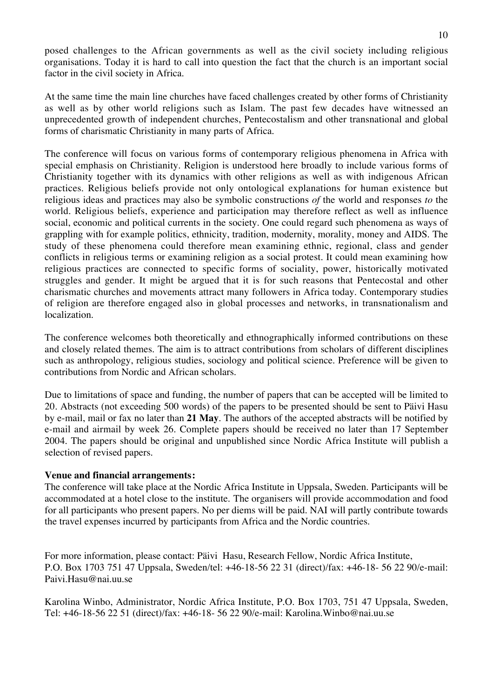posed challenges to the African governments as well as the civil society including religious organisations. Today it is hard to call into question the fact that the church is an important social factor in the civil society in Africa.

At the same time the main line churches have faced challenges created by other forms of Christianity as well as by other world religions such as Islam. The past few decades have witnessed an unprecedented growth of independent churches, Pentecostalism and other transnational and global forms of charismatic Christianity in many parts of Africa.

The conference will focus on various forms of contemporary religious phenomena in Africa with special emphasis on Christianity. Religion is understood here broadly to include various forms of Christianity together with its dynamics with other religions as well as with indigenous African practices. Religious beliefs provide not only ontological explanations for human existence but religious ideas and practices may also be symbolic constructions *of* the world and responses *to* the world. Religious beliefs, experience and participation may therefore reflect as well as influence social, economic and political currents in the society. One could regard such phenomena as ways of grappling with for example politics, ethnicity, tradition, modernity, morality, money and AIDS. The study of these phenomena could therefore mean examining ethnic, regional, class and gender conflicts in religious terms or examining religion as a social protest. It could mean examining how religious practices are connected to specific forms of sociality, power, historically motivated struggles and gender. It might be argued that it is for such reasons that Pentecostal and other charismatic churches and movements attract many followers in Africa today. Contemporary studies of religion are therefore engaged also in global processes and networks, in transnationalism and localization.

The conference welcomes both theoretically and ethnographically informed contributions on these and closely related themes. The aim is to attract contributions from scholars of different disciplines such as anthropology, religious studies, sociology and political science. Preference will be given to contributions from Nordic and African scholars.

Due to limitations of space and funding, the number of papers that can be accepted will be limited to 20. Abstracts (not exceeding 500 words) of the papers to be presented should be sent to Päivi Hasu by e-mail, mail or fax no later than **21 May**. The authors of the accepted abstracts will be notified by e-mail and airmail by week 26. Complete papers should be received no later than 17 September 2004. The papers should be original and unpublished since Nordic Africa Institute will publish a selection of revised papers.

#### **Venue and financial arrangements:**

The conference will take place at the Nordic Africa Institute in Uppsala, Sweden. Participants will be accommodated at a hotel close to the institute. The organisers will provide accommodation and food for all participants who present papers. No per diems will be paid. NAI will partly contribute towards the travel expenses incurred by participants from Africa and the Nordic countries.

For more information, please contact: Päivi Hasu, Research Fellow, Nordic Africa Institute, P.O. Box 1703 751 47 Uppsala, Sweden/tel: +46-18-56 22 31 (direct)/fax: +46-18- 56 22 90/e-mail: Paivi.Hasu@nai.uu.se

Karolina Winbo, Administrator, Nordic Africa Institute, P.O. Box 1703, 751 47 Uppsala, Sweden, Tel: +46-18-56 22 51 (direct)/fax: +46-18- 56 22 90/e-mail: Karolina.Winbo@nai.uu.se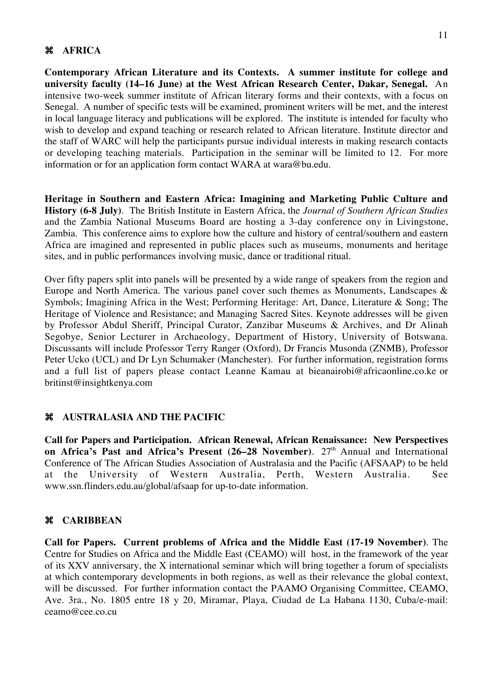#### **AFRICA**

**Contemporary African Literature and its Contexts. A summer institute for college and university faculty (14–16 June) at the West African Research Center, Dakar, Senegal.** An intensive two-week summer institute of African literary forms and their contexts, with a focus on Senegal. A number of specific tests will be examined, prominent writers will be met, and the interest in local language literacy and publications will be explored. The institute is intended for faculty who wish to develop and expand teaching or research related to African literature. Institute director and the staff of WARC will help the participants pursue individual interests in making research contacts or developing teaching materials. Participation in the seminar will be limited to 12. For more information or for an application form contact WARA at wara@bu.edu.

**Heritage in Southern and Eastern Africa: Imagining and Marketing Public Culture and History (6-8 July)**. The British Institute in Eastern Africa, the *Journal of Southern African Studies* and the Zambia National Museums Board are hosting a 3-day conference on*y* in Livingstone, Zambia. This conference aims to explore how the culture and history of central/southern and eastern Africa are imagined and represented in public places such as museums, monuments and heritage sites, and in public performances involving music, dance or traditional ritual.

Over fifty papers split into panels will be presented by a wide range of speakers from the region and Europe and North America. The various panel cover such themes as Monuments, Landscapes & Symbols; Imagining Africa in the West; Performing Heritage: Art, Dance, Literature & Song; The Heritage of Violence and Resistance; and Managing Sacred Sites. Keynote addresses will be given by Professor Abdul Sheriff, Principal Curator, Zanzibar Museums & Archives, and Dr Alinah Segobye, Senior Lecturer in Archaeology, Department of History, University of Botswana. Discussants will include Professor Terry Ranger (Oxford), Dr Francis Musonda (ZNMB), Professor Peter Ucko (UCL) and Dr Lyn Schumaker (Manchester). For further information, registration forms and a full list of papers please contact Leanne Kamau at bieanairobi@africaonline.co.ke or britinst@insightkenya.com

#### **AUSTRALASIA AND THE PACIFIC**

**Call for Papers and Participation. African Renewal, African Renaissance: New Perspectives** on Africa's Past and Africa's Present (26–28 November). 27<sup>th</sup> Annual and International Conference of The African Studies Association of Australasia and the Pacific (AFSAAP) to be held at the University of Western Australia, Perth, Western Australia. See www.ssn.flinders.edu.au/global/afsaap for up-to-date information.

#### **CARIBBEAN**

**Call for Papers. Current problems of Africa and the Middle East (17-19 November)**. The Centre for Studies on Africa and the Middle East (CEAMO) will host, in the framework of the year of its XXV anniversary, the X international seminar which will bring together a forum of specialists at which contemporary developments in both regions, as well as their relevance the global context, will be discussed. For further information contact the PAAMO Organising Committee, CEAMO, Ave. 3ra., No. 1805 entre 18 y 20, Miramar, Playa, Ciudad de La Habana 1130, Cuba/e-mail: ceamo@cee.co.cu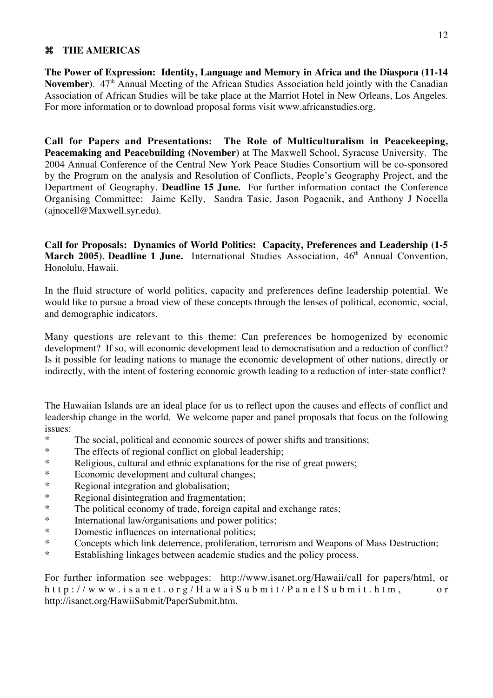# **THE AMERICAS**

**The Power of Expression: Identity, Language and Memory in Africa and the Diaspora (11-14** November). 47<sup>th</sup> Annual Meeting of the African Studies Association held jointly with the Canadian Association of African Studies will be take place at the Marriot Hotel in New Orleans, Los Angeles. For more information or to download proposal forms visit www.africanstudies.org.

**Call for Papers and Presentations: The Role of Multiculturalism in Peacekeeping, Peacemaking and Peacebuilding (November)** at The Maxwell School, Syracuse University. The 2004 Annual Conference of the Central New York Peace Studies Consortium will be co-sponsored by the Program on the analysis and Resolution of Conflicts, People's Geography Project, and the Department of Geography. **Deadline 15 June.** For further information contact the Conference Organising Committee: Jaime Kelly, Sandra Tasic, Jason Pogacnik, and Anthony J Nocella (ajnocell@Maxwell.syr.edu).

**Call for Proposals: Dynamics of World Politics: Capacity, Preferences and Leadership (1-5 March 2005). Deadline 1 June.** International Studies Association, 46<sup>th</sup> Annual Convention, Honolulu, Hawaii.

In the fluid structure of world politics, capacity and preferences define leadership potential. We would like to pursue a broad view of these concepts through the lenses of political, economic, social, and demographic indicators.

Many questions are relevant to this theme: Can preferences be homogenized by economic development? If so, will economic development lead to democratisation and a reduction of conflict? Is it possible for leading nations to manage the economic development of other nations, directly or indirectly, with the intent of fostering economic growth leading to a reduction of inter-state conflict?

The Hawaiian Islands are an ideal place for us to reflect upon the causes and effects of conflict and leadership change in the world. We welcome paper and panel proposals that focus on the following issues:

- \* The social, political and economic sources of power shifts and transitions;
- \* The effects of regional conflict on global leadership;
- \* Religious, cultural and ethnic explanations for the rise of great powers;
- \* Economic development and cultural changes;<br>
Regional integration and globalisation:
- \* Regional integration and globalisation;<br>Regional disintegration and fragmentation
- Regional disintegration and fragmentation;
- \* The political economy of trade, foreign capital and exchange rates;<br>  $*$  International law/organisations and power politics;
- \* International law/organisations and power politics;<br>Nomestic influences on international politics;
- Domestic influences on international politics;
- \* Concepts which link deterrence, proliferation, terrorism and Weapons of Mass Destruction;
- \* Establishing linkages between academic studies and the policy process.

For further information see webpages: http://www.isanet.org/Hawaii/call for papers/html, or http://www.isanet.org/HawaiSubmit/PanelSubmit.htm, o r http://isanet.org/HawiiSubmit/PaperSubmit.htm.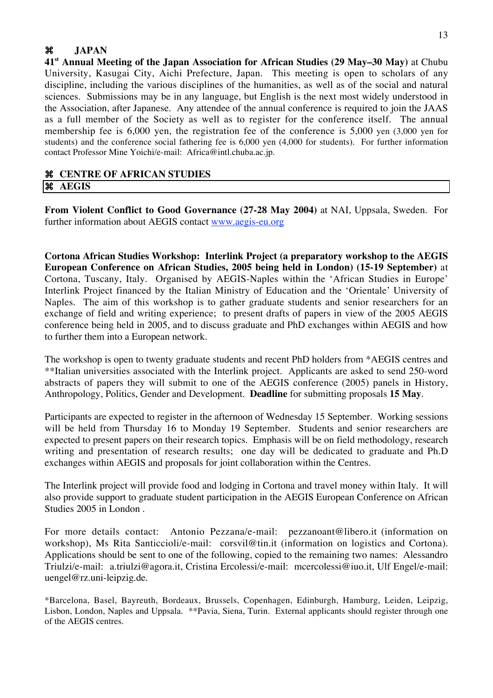# **JAPAN**

**41st Annual Meeting of the Japan Association for African Studies (29 May–30 May)** at Chubu University, Kasugai City, Aichi Prefecture, Japan. This meeting is open to scholars of any discipline, including the various disciplines of the humanities, as well as of the social and natural sciences. Submissions may be in any language, but English is the next most widely understood in the Association, after Japanese. Any attendee of the annual conference is required to join the JAAS as a full member of the Society as well as to register for the conference itself. The annual membership fee is 6,000 yen, the registration fee of the conference is 5,000 yen (3,000 yen for students) and the conference social fathering fee is 6,000 yen (4,000 for students). For further information contact Professor Mine Yoichi/e-mail: Africa@intl.chuba.ac.jp.

#### **CENTRE OF AFRICAN STUDIES AEGIS**

**From Violent Conflict to Good Governance (27-28 May 2004)** at NAI, Uppsala, Sweden. For further information about AEGIS contact www.aegis-eu.org

**Cortona African Studies Workshop: Interlink Project (a preparatory workshop to the AEGIS European Conference on African Studies, 2005 being held in London) (15-19 September)** at Cortona, Tuscany, Italy. Organised by AEGIS-Naples within the 'African Studies in Europe' Interlink Project financed by the Italian Ministry of Education and the 'Orientale' University of Naples. The aim of this workshop is to gather graduate students and senior researchers for an exchange of field and writing experience; to present drafts of papers in view of the 2005 AEGIS conference being held in 2005, and to discuss graduate and PhD exchanges within AEGIS and how to further them into a European network.

The workshop is open to twenty graduate students and recent PhD holders from \*AEGIS centres and \*\*Italian universities associated with the Interlink project. Applicants are asked to send 250-word abstracts of papers they will submit to one of the AEGIS conference (2005) panels in History, Anthropology, Politics, Gender and Development. **Deadline** for submitting proposals **15 May**.

Participants are expected to register in the afternoon of Wednesday 15 September. Working sessions will be held from Thursday 16 to Monday 19 September. Students and senior researchers are expected to present papers on their research topics. Emphasis will be on field methodology, research writing and presentation of research results; one day will be dedicated to graduate and Ph.D exchanges within AEGIS and proposals for joint collaboration within the Centres.

The Interlink project will provide food and lodging in Cortona and travel money within Italy. It will also provide support to graduate student participation in the AEGIS European Conference on African Studies 2005 in London .

For more details contact: Antonio Pezzana/e-mail: pezzanoant@libero.it (information on workshop), Ms Rita Santiccioli/e-mail: corsvil@tin.it (information on logistics and Cortona). Applications should be sent to one of the following, copied to the remaining two names: Alessandro Triulzi/e-mail: a.triulzi@agora.it, Cristina Ercolessi/e-mail: mcercolessi@iuo.it, Ulf Engel/e-mail: uengel@rz.uni-leipzig.de.

\*Barcelona, Basel, Bayreuth, Bordeaux, Brussels, Copenhagen, Edinburgh, Hamburg, Leiden, Leipzig, Lisbon, London, Naples and Uppsala. \*\*Pavia, Siena, Turin. External applicants should register through one of the AEGIS centres.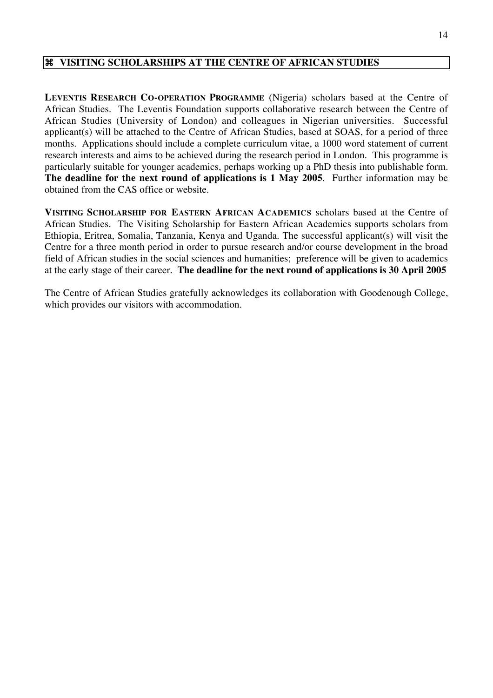# **VISITING SCHOLARSHIPS AT THE CENTRE OF AFRICAN STUDIES**

**LEVENTIS RESEARCH CO-OPERATION PROGRAMME** (Nigeria) scholars based at the Centre of African Studies. The Leventis Foundation supports collaborative research between the Centre of African Studies (University of London) and colleagues in Nigerian universities. Successful applicant(s) will be attached to the Centre of African Studies, based at SOAS, for a period of three months. Applications should include a complete curriculum vitae, a 1000 word statement of current research interests and aims to be achieved during the research period in London. This programme is particularly suitable for younger academics, perhaps working up a PhD thesis into publishable form. **The deadline for the next round of applications is 1 May 2005**. Further information may be obtained from the CAS office or website.

**VISITING SCHOLARSHIP FOR EASTERN AFRICAN ACADEMICS** scholars based at the Centre of African Studies. The Visiting Scholarship for Eastern African Academics supports scholars from Ethiopia, Eritrea, Somalia, Tanzania, Kenya and Uganda. The successful applicant(s) will visit the Centre for a three month period in order to pursue research and/or course development in the broad field of African studies in the social sciences and humanities; preference will be given to academics at the early stage of their career. **The deadline for the next round of applications is 30 April 2005**

The Centre of African Studies gratefully acknowledges its collaboration with Goodenough College, which provides our visitors with accommodation.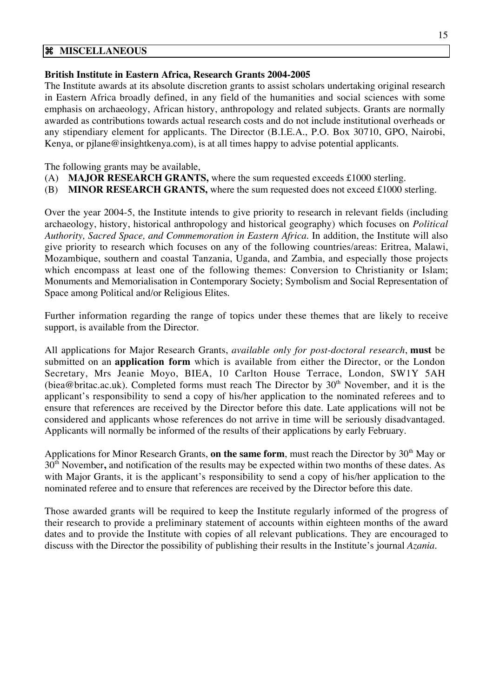#### **MISCELLANEOUS**

#### **British Institute in Eastern Africa, Research Grants 2004-2005**

The Institute awards at its absolute discretion grants to assist scholars undertaking original research in Eastern Africa broadly defined, in any field of the humanities and social sciences with some emphasis on archaeology, African history, anthropology and related subjects. Grants are normally awarded as contributions towards actual research costs and do not include institutional overheads or any stipendiary element for applicants. The Director (B.I.E.A., P.O. Box 30710, GPO, Nairobi, Kenya, or pjlane@insightkenya.com), is at all times happy to advise potential applicants.

The following grants may be available,

- (A) **MAJOR RESEARCH GRANTS,** where the sum requested exceeds £1000 sterling.
- (B) **MINOR RESEARCH GRANTS,** where the sum requested does not exceed £1000 sterling.

Over the year 2004-5, the Institute intends to give priority to research in relevant fields (including archaeology, history, historical anthropology and historical geography) which focuses on *Political Authority, Sacred Space, and Commemoration in Eastern Africa*. In addition, the Institute will also give priority to research which focuses on any of the following countries/areas: Eritrea, Malawi, Mozambique, southern and coastal Tanzania, Uganda, and Zambia, and especially those projects which encompass at least one of the following themes: Conversion to Christianity or Islam; Monuments and Memorialisation in Contemporary Society; Symbolism and Social Representation of Space among Political and/or Religious Elites.

Further information regarding the range of topics under these themes that are likely to receive support, is available from the Director.

All applications for Major Research Grants, *available only for post-doctoral research*, **must** be submitted on an **application form** which is available from either the Director, or the London Secretary, Mrs Jeanie Moyo, BIEA, 10 Carlton House Terrace, London, SW1Y 5AH (biea@britac.ac.uk). Completed forms must reach The Director by  $30<sup>th</sup>$  November, and it is the applicant's responsibility to send a copy of his/her application to the nominated referees and to ensure that references are received by the Director before this date. Late applications will not be considered and applicants whose references do not arrive in time will be seriously disadvantaged. Applicants will normally be informed of the results of their applications by early February.

Applications for Minor Research Grants, **on the same form**, must reach the Director by 30<sup>th</sup> May or 30<sup>th</sup> November, and notification of the results may be expected within two months of these dates. As with Major Grants, it is the applicant's responsibility to send a copy of his/her application to the nominated referee and to ensure that references are received by the Director before this date.

Those awarded grants will be required to keep the Institute regularly informed of the progress of their research to provide a preliminary statement of accounts within eighteen months of the award dates and to provide the Institute with copies of all relevant publications. They are encouraged to discuss with the Director the possibility of publishing their results in the Institute's journal *Azania.*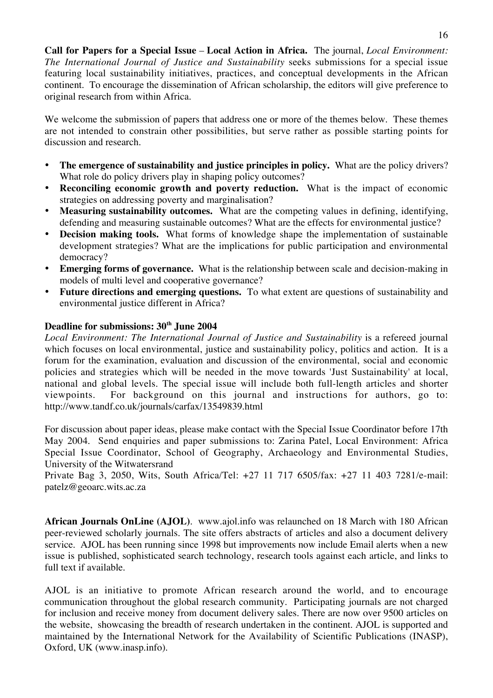**Call for Papers for a Special Issue** – **Local Action in Africa.** The journal, *Local Environment: The International Journal of Justice and Sustainability* seeks submissions for a special issue featuring local sustainability initiatives, practices, and conceptual developments in the African continent. To encourage the dissemination of African scholarship, the editors will give preference to original research from within Africa.

We welcome the submission of papers that address one or more of the themes below. These themes are not intended to constrain other possibilities, but serve rather as possible starting points for discussion and research.

- **The emergence of sustainability and justice principles in policy.** What are the policy drivers? What role do policy drivers play in shaping policy outcomes?
- **Reconciling economic growth and poverty reduction.** What is the impact of economic strategies on addressing poverty and marginalisation?
- **Measuring sustainability outcomes.** What are the competing values in defining, identifying, defending and measuring sustainable outcomes? What are the effects for environmental justice?
- **Decision making tools.** What forms of knowledge shape the implementation of sustainable development strategies? What are the implications for public participation and environmental democracy?
- **Emerging forms of governance.** What is the relationship between scale and decision-making in models of multi level and cooperative governance?
- **Future directions and emerging questions.** To what extent are questions of sustainability and environmental justice different in Africa?

# **Deadline for submissions: 30th June 2004**

Local Environment: The International Journal of Justice and Sustainability is a refereed journal which focuses on local environmental, justice and sustainability policy, politics and action. It is a forum for the examination, evaluation and discussion of the environmental, social and economic policies and strategies which will be needed in the move towards 'Just Sustainability' at local, national and global levels. The special issue will include both full-length articles and shorter viewpoints. For background on this journal and instructions for authors, go to: http://www.tandf.co.uk/journals/carfax/13549839.html

For discussion about paper ideas, please make contact with the Special Issue Coordinator before 17th May 2004. Send enquiries and paper submissions to: Zarina Patel, Local Environment: Africa Special Issue Coordinator, School of Geography, Archaeology and Environmental Studies, University of the Witwatersrand

Private Bag 3, 2050, Wits, South Africa/Tel: +27 11 717 6505/fax: +27 11 403 7281/e-mail: patelz@geoarc.wits.ac.za

**African Journals OnLine (AJOL)**. www.ajol.info was relaunched on 18 March with 180 African peer-reviewed scholarly journals. The site offers abstracts of articles and also a document delivery service. AJOL has been running since 1998 but improvements now include Email alerts when a new issue is published, sophisticated search technology, research tools against each article, and links to full text if available.

AJOL is an initiative to promote African research around the world, and to encourage communication throughout the global research community. Participating journals are not charged for inclusion and receive money from document delivery sales. There are now over 9500 articles on the website, showcasing the breadth of research undertaken in the continent. AJOL is supported and maintained by the International Network for the Availability of Scientific Publications (INASP), Oxford, UK (www.inasp.info).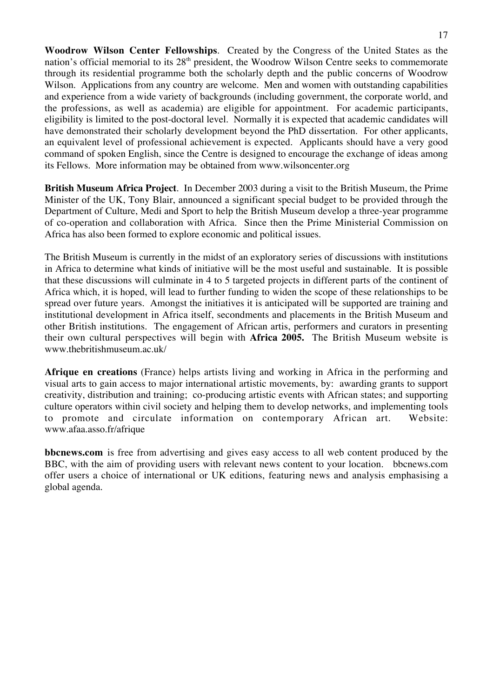**Woodrow Wilson Center Fellowships**. Created by the Congress of the United States as the nation's official memorial to its 28<sup>th</sup> president, the Woodrow Wilson Centre seeks to commemorate through its residential programme both the scholarly depth and the public concerns of Woodrow Wilson. Applications from any country are welcome. Men and women with outstanding capabilities and experience from a wide variety of backgrounds (including government, the corporate world, and the professions, as well as academia) are eligible for appointment. For academic participants, eligibility is limited to the post-doctoral level. Normally it is expected that academic candidates will have demonstrated their scholarly development beyond the PhD dissertation. For other applicants, an equivalent level of professional achievement is expected. Applicants should have a very good command of spoken English, since the Centre is designed to encourage the exchange of ideas among its Fellows. More information may be obtained from www.wilsoncenter.org

**British Museum Africa Project**. In December 2003 during a visit to the British Museum, the Prime Minister of the UK, Tony Blair, announced a significant special budget to be provided through the Department of Culture, Medi and Sport to help the British Museum develop a three-year programme of co-operation and collaboration with Africa. Since then the Prime Ministerial Commission on Africa has also been formed to explore economic and political issues.

The British Museum is currently in the midst of an exploratory series of discussions with institutions in Africa to determine what kinds of initiative will be the most useful and sustainable. It is possible that these discussions will culminate in 4 to 5 targeted projects in different parts of the continent of Africa which, it is hoped, will lead to further funding to widen the scope of these relationships to be spread over future years. Amongst the initiatives it is anticipated will be supported are training and institutional development in Africa itself, secondments and placements in the British Museum and other British institutions. The engagement of African artis, performers and curators in presenting their own cultural perspectives will begin with **Africa 2005.** The British Museum website is www.thebritishmuseum.ac.uk/

**Afrique en creations** (France) helps artists living and working in Africa in the performing and visual arts to gain access to major international artistic movements, by: awarding grants to support creativity, distribution and training; co-producing artistic events with African states; and supporting culture operators within civil society and helping them to develop networks, and implementing tools to promote and circulate information on contemporary African art. Website: www.afaa.asso.fr/afrique

**bbcnews.com** is free from advertising and gives easy access to all web content produced by the BBC, with the aim of providing users with relevant news content to your location. bbcnews.com offer users a choice of international or UK editions, featuring news and analysis emphasising a global agenda.